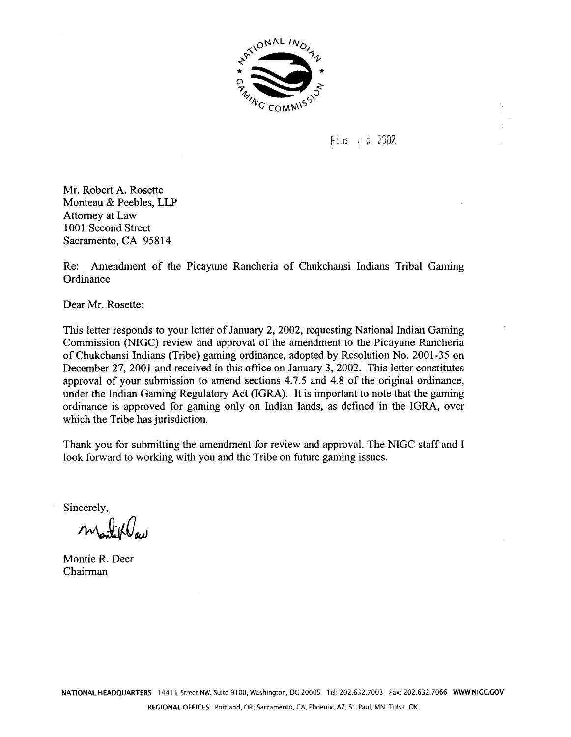

## $FEB + 5.2002$

Mr. Robert A. Rosette Monteau & Peebles, LLP Attorney at Law 1001 Second Street Sacramento, CA 95814

Re: Amendment of the Picayune Rancheria of Chukchansi Indians Tribal Gaming Ordinance

Dear Mr. Rosette:

This letter responds to your letter of January 2, 2002, requesting National Indian Gaming Commission (NIGC) review and approval of the amendment to the Picayune Rancheria of Chukchansi Indians (Tribe) gaming ordinance, adopted by Resolution No. 2001-35 on December 27, 2001 and received in this office on January 3, 2002. This letter constitutes approval of your submission to amend sections 4.7.5 and 4.8 of the original ordinance, under the Indian Gaming Regulatory Act (IGRA). It is important to note that the gaming ordinance is approved for gaming only on Indian lands, as defined in the IGRA, over which the Tribe has jurisdiction.

Thank you for submitting the amendment for review and approval. The NIGC staff and I look forward to working with you and the Tribe on future gaming issues.

Sincerely,

matiklad

Montie R. Deer Chairman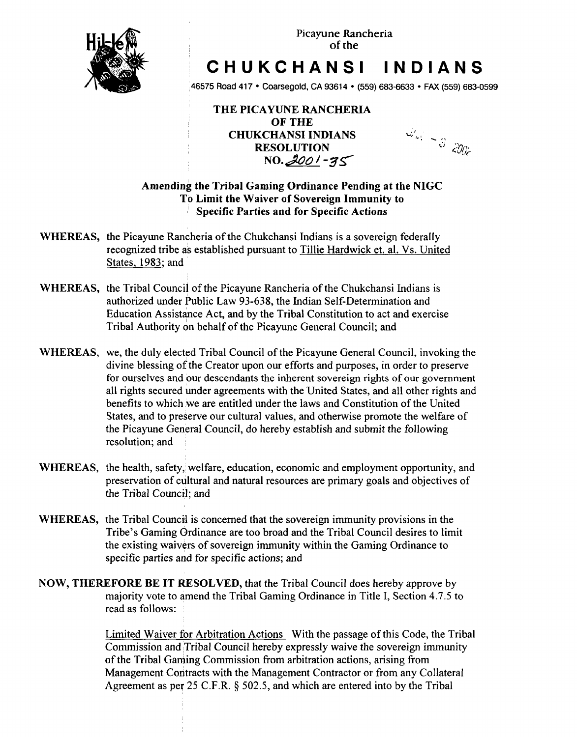

## **CHUKCHANSI INDIANS**

**46575 Road 417 Coarsegold, CA 93614 (559) 683-6633 FAX (559) 683-0599**

**THE PICAYUNE RANCHIERIA OF THE CHUKCHANSI INDIANS RESOLUTION NO. 2001-35** 

*dial*  $\sim$  3 200<sup>2</sup>

## **Amending the Tribal Gaming Ordinance Pending at the NIGC TO Limit the Waiver of Sovereign Immunity to Specific Parties and for Specific Actions**

- **WHEREAS, the Picayune Rancheria of the Chukchansi Indians is <sup>a</sup> sovereign federally recognized tribe as established pursuant to Tillie Hardwick et. al. Vs. United States, 1983 and**
- **WHEREAS, the Tribal Council of the Picayune Rancheria of the Chukchansi Indians is authorized under Public Law 93-638, the Indian Self-Determination and Education Assistance Act, and by the Tribal Constitution to act and exercise Tribal Authority on behalf of the Picayune General Council; and**
- **WHEREAS, we, the duly elected Tribal Council of the Picayune General Council, invoking the divine blessing of the Creator upon our efforts and purposes, in order to preserve for ourselves and our descendants the inherent sovereign rights of our government all rights secured under agreements with the United States, and all other rights and benefits to which we are entitled under the laws and Constitution of the United States, and to preserve our cultural values, and otherwise promote the welfare of the Picayune General Council, do hereby establish and submit the following resolution; and**
- **WHEREAS**, the health, safety, welfare, education, economic and employment opportunity, and **preservation of cultural and natural resources are primary goals and objectives of the Tribal Council; and**
- **WHEREAS, the Tribal Council is concerned that the sovereign immunity provisions in the Tribes Gaming Ordinance are too broad and the Tribal Council desires to limit the existing waivers of sovereign immunity within the Gaming Ordinance to specific parties and for specific actions; and**
- **NOW, THEREFORE BE IT RESOLVED, that the Tribal Council does hereby approve by majority vote to amend the Tribal Gaming Ordinance in Title I, Section 4.7.5 to read as follows:**

**Limited Waiver for Arbitration Actions With the passage of this Code, the Tribal Commission and Tribal Council hereby expressly waive the sovereign immunity of the Tribal Gaming Commission from arbitration actions, arising from Management Contracts with the Management Contractor or from any Collateral Agreement as per 25 C.F.R. § 502.5, and which are entered into by the Tribal**